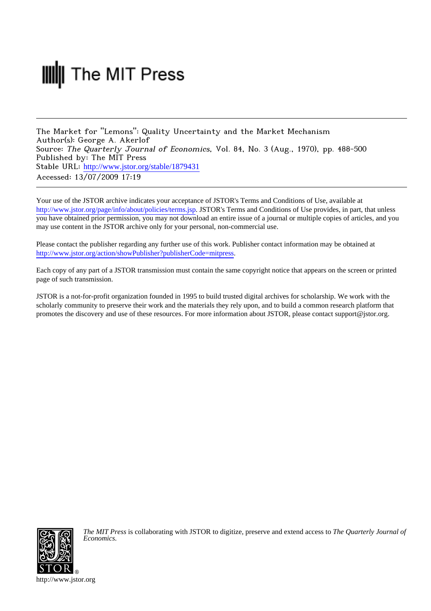# **III** The MIT Press

The Market for "Lemons": Quality Uncertainty and the Market Mechanism Author(s): George A. Akerlof Source: The Quarterly Journal of Economics, Vol. 84, No. 3 (Aug., 1970), pp. 488-500 Published by: The MIT Press Stable URL: [http://www.jstor.org/stable/1879431](http://www.jstor.org/stable/1879431?origin=JSTOR-pdf) Accessed: 13/07/2009 17:19

Your use of the JSTOR archive indicates your acceptance of JSTOR's Terms and Conditions of Use, available at <http://www.jstor.org/page/info/about/policies/terms.jsp>. JSTOR's Terms and Conditions of Use provides, in part, that unless you have obtained prior permission, you may not download an entire issue of a journal or multiple copies of articles, and you may use content in the JSTOR archive only for your personal, non-commercial use.

Please contact the publisher regarding any further use of this work. Publisher contact information may be obtained at [http://www.jstor.org/action/showPublisher?publisherCode=mitpress.](http://www.jstor.org/action/showPublisher?publisherCode=mitpress)

Each copy of any part of a JSTOR transmission must contain the same copyright notice that appears on the screen or printed page of such transmission.

JSTOR is a not-for-profit organization founded in 1995 to build trusted digital archives for scholarship. We work with the scholarly community to preserve their work and the materials they rely upon, and to build a common research platform that promotes the discovery and use of these resources. For more information about JSTOR, please contact support@jstor.org.



*The MIT Press* is collaborating with JSTOR to digitize, preserve and extend access to *The Quarterly Journal of Economics.*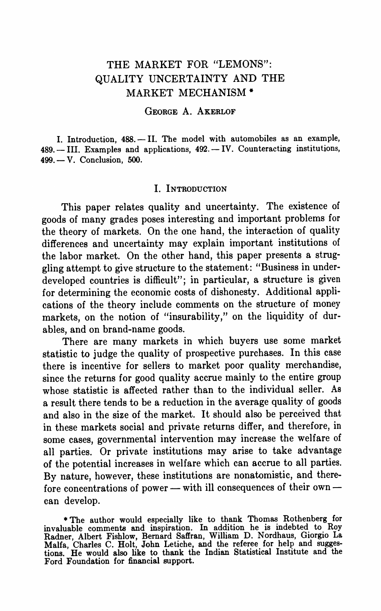# **THE MARKET FOR "LEMONS": QUALITY UNCERTAINTY AND THE MARKET MECHANISM \***

#### **GEORGE A. AKERLOF**

I. Introduction, 488. - II. The model with automobiles as an example, **489.- III. Examples and applications, 492.- IV. Counteracting institutions, 499. -V. Conclusion, 500.** 

#### **I. INTRODUCrION**

**This paper relates quality and uncertainty. The existence of goods of many grades poses interesting and important problems for the theory of markets. On the one hand, the interaction of quality differences and uncertainty may explain important institutions of the labor market. On the other hand, this paper presents a struggling attempt to give structure to the statement: "Business in underdeveloped countries is difficult"; in particular, a structure is given for determining the economic costs of dishonesty. Additional applications of the theory include comments on the structure of money markets, on the notion of "insurability," on the liquidity of durables, and on brand-name goods.** 

**There are many markets in which buyers use some market statistic to judge the quality of prospective purchases. In this case there is incentive for sellers to market poor quality merchandise, since the returns for good quality accrue mainly to the entire group whose statistic is affected rather than to the individual seller. As a result there tends to be a reduction in the average quality of goods and also in the size of the market. It should also be perceived that in these markets social and private returns differ, and therefore, in some cases, governmental intervention may increase the welfare of all parties. Or private institutions may arise to take advantage of the potential increases in welfare which can accrue to all parties. By nature, however, these institutions are nonatomistic, and therefore concentrations of power - with ill consequences of their own can develop.** 

**\*The author would especially like to thank Thomas Rothenberg for invaluable comments and inspiration. In addition he is indebted to Roy Radner, Albert Fishlow, Bernard Saffran, William D. Nordhaus, Giorgio La Malfa, Charles C. Holt, John Letiche, and the referee for help and sugges-tions. He would also like to thank the Indian Statistical Institute and the Ford Foundation for financial support.**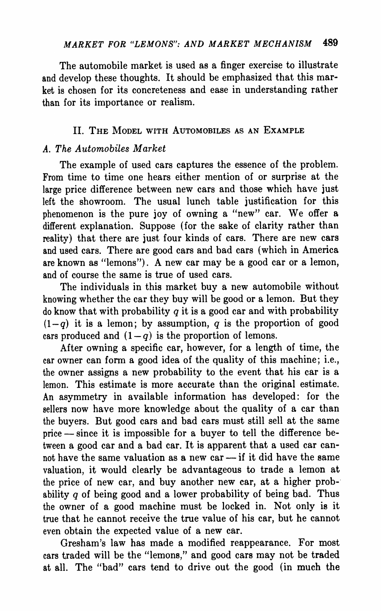**The automobile market is used as a finger exercise to illustrate and develop these thoughts. It should be emphasized that this market is chosen for its concreteness and ease in understanding rather than for its importance or realism.** 

### **II. THE MODEL WITH AUTOMOBILES AS AN EXAMPLE**

#### **A. The Automobiles Market**

**The example of used cars captures the essence of the problem. From time to time one hears either mention of or surprise at the large price difference between new cars and those which have just left the showroom. The usual lunch table justification for this phenomenon is the pure joy of owning a "new" car. We offer a different explanation. Suppose (for the sake of clarity rather than reality) that there are just four kinds of cars. There are new cars and used cars. There are good cars and bad cars (which in America are known as "lemons"). A new car may be a good car or a lemon, and of course the same is true of used cars.** 

**The individuals in this market buy a new automobile without knowing whether the car they buy will be good or a lemon. But they do know that with probability q it is a good car and with probability**   $(1-q)$  it is a lemon; by assumption, q is the proportion of good cars produced and  $(1 - q)$  is the proportion of lemons.

**After owning a specific car, however, for a length of time, the car owner can form a good idea of the quality of this machine; i.e., the owner assigns a new probability to the event that his car is a lemon. This estimate is more accurate than the original estimate. An asymmetry in available information has developed: for the sellers now have more knowledge about the quality of a car than the buyers. But good cars and bad cars must still sell at the same price -since it is impossible for a buyer to tell the difference between a good car and a bad car. It is apparent that a used car cannot have the same valuation as a new car - if it did have the same valuation, it would clearly be advantageous to trade a lemon at the price of new car, and buy another new car, at a higher probability q of being good and a lower probability of being bad. Thus the owner of a good machine must be locked in. Not only is it true that he cannot receive the true value of his car, but he cannot even obtain the expected value of a new car.** 

**Gresham's law has made a modified reappearance. For most cars traded will be the "lemons," and good cars may not be traded at all. The "bad" cars tend to drive out the good (in much the**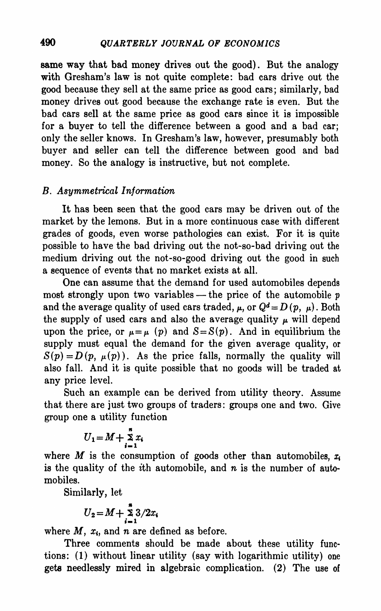**same way that bad money drives out the good). But the analogy with Gresham's law is not quite complete: bad cars drive out the good because they sell at the same price as good cars; similarly, bad money drives out good because the exchange rate is even. But the bad cars sell at the same price as good cars since it is impossible for a buyer to tell the difference between a good and a bad car; only the seller knows. In Gresham's law, however, presumably both buyer and seller can tell the difference between good and bad money. So the analogy is instructive, but not complete.** 

## **B. Asymmetrical Information**

**It has been seen that the good cars may be driven out of the market by the lemons. But in a more continuous case with different grades of goods, even worse pathologies can exist. For it is quite possible to have the bad driving out the not-so-bad driving out the medium driving out the not-so-good driving out the good in such a sequence of events that no market exists at all.** 

**One can assume that the demand for used automobiles depends**  most strongly upon two variables — the price of the automobile p and the average quality of used cars traded,  $\mu$ , or  $Q^d = D(p, \mu)$ . Both the supply of used cars and also the average quality  $\mu$  will depend upon the price, or  $\mu = \mu$  (p) and  $S = S(p)$ . And in equilibrium the **supply must equal the demand for the given average quality, or**   $S(p) = D(p, \mu(p))$ . As the price falls, normally the quality will **also fall. And it is quite possible that no goods will be traded at any price level.** 

**Such an example can be derived from utility theory. Assume that there are just two groups of traders: groups one and two. Give group one a utility function** 

$$
U_1 = M + \sum_{i=1}^n x_i
$$

where  $M$  is the consumption of goods other than automobiles,  $x_i$ **is the quality of the ith automobile, and n is the number of automobiles.** 

**Similarly, let** 

$$
U_2 = M + \sum_{i=1}^{n} 3/2x_i
$$

where  $M$ ,  $x_i$ , and  $n$  are defined as before.

**Three comments should be made about these utility functions: (1) without linear utility (say with logarithmic utility) one gets needlessly mired in algebraic complication. (2) The use of**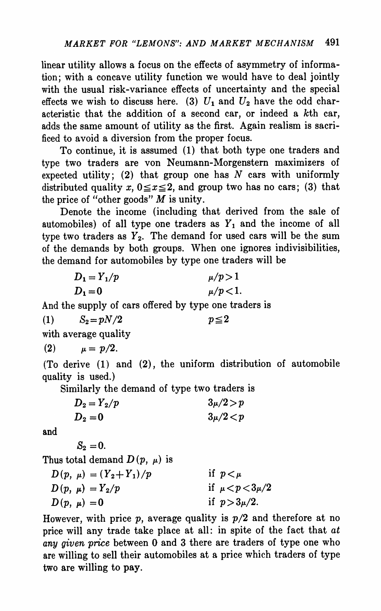**linear utility allows a focus on the effects of asymmetry of information; with a concave utility function we would have to deal jointly with the usual risk-variance effects of uncertainty and the special**  effects we wish to discuss here. (3)  $U_1$  and  $U_2$  have the odd char**acteristic that the addition of a second car, or indeed a kth car, adds the same amount of utility as the first. Again realism is sacrificed to avoid a diversion from the proper focus.** 

**To continue, it is assumed (1) that both type one traders and type two traders are von Neumann-Morgenstern maximizers of expected utility; (2) that group one has N cars with uniformly**  distributed quality x,  $0 \le x \le 2$ , and group two has no cars; (3) that **the price of "other goods" M is unity.** 

**Denote the income (including that derived from the sale of**  automobiles) of all type one traders as  $Y_1$  and the income of all type two traders as  $Y_2$ . The demand for used cars will be the sum **of the demands by both groups. When one ignores indivisibilities, the demand for automobiles by type one traders will be** 

| $D_1 = Y_1/p$ | $\mu/p > 1$      |
|---------------|------------------|
| $D_1=0$       | $\mu$ / $p$ < 1. |

**And the supply of cars offered by type one traders is** 

(1)  $S_2 = pN/2$   $p \le 2$ 

**with average quality** 

(2)  $\mu = p/2$ .

**(To derive (1) and (2), the uniform distribution of automobile quality is used.)** 

**Similarly the demand of type two traders is** 

| $D_2 = Y_2 / p$ | $3\mu/2\!>\!p$ |
|-----------------|----------------|
| $D_2=0$         | $3\mu/2 < p$   |

**and** 

 $S_2 = 0.$ 

Thus total demand  $D(p, \mu)$  is

| $D(p, \mu) = (Y_2 + Y_1)/p$ | if $p < \mu$          |
|-----------------------------|-----------------------|
| $D(p, \mu) = Y_2/p$         | if $\mu < p < 3\mu/2$ |
| $D(p, \mu) = 0$             | if $p > 3\mu/2$ .     |

However, with price  $p$ , average quality is  $p/2$  and therefore at no **price will any trade take place at all: in spite of the fact that at any given price between 0 and 3 there are traders of type one who are willing to sell their automobiles at a price which traders of type two are willing to pay.**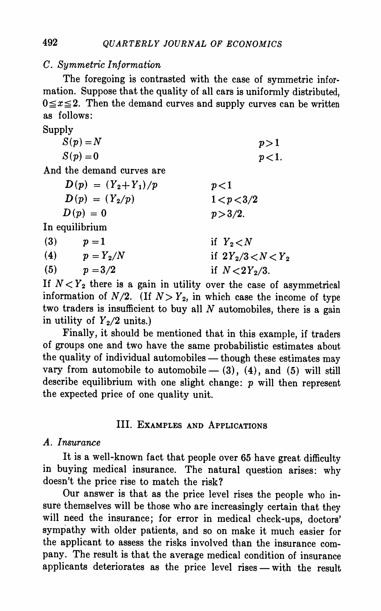#### **C. Symmetric Information**

**The foregoing is contrasted with the case of symmetric information. Suppose that the quality of all cars is uniformly distributed,**   $0 \le x \le 2$ . Then the demand curves and supply curves can be written **as follows:** 

**Supply** 

| $S(p) = N$                | p > 1                 |  |
|---------------------------|-----------------------|--|
| $S(p)=0$                  | $p<1$ .               |  |
| And the demand curves are |                       |  |
| $D(p) = (Y_2 + Y_1)/p$    | p<1                   |  |
| $D(p) = (Y_2/p)$          | 1 < p < 3/2           |  |
| $D(p) = 0$                | $p > 3/2$ .           |  |
| In equilibrium            |                       |  |
| $(3)$ $p=1$               | if $Y_2 < N$          |  |
| (4)<br>$p = Y_2/N$        | if $2Y_2/3 < N < Y_2$ |  |
| (5)<br>$p = 3/2$          | if $N < 2Y_2/3$ .     |  |

If  $N < Y_2$  there is a gain in utility over the case of asymmetrical information of  $N/2$ . (If  $N > Y_2$ , in which case the income of type **two traders is insufficient to buy all N automobiles, there is a gain**  in utility of  $Y_2/2$  units.)

**Finally, it should be mentioned that in this example, if traders of groups one and two have the same probabilistic estimates about the quality of individual automobiles - though these estimates may**  vary from automobile to automobile  $-$  (3), (4), and (5) will still **describe equilibrium with one slight change: p will then represent the expected price of one quality unit.** 

#### **III. EXAMPLES AND APPLICATIONS**

#### **A. Insurance**

**It is a well-known fact that people over 65 have great difficulty in buying medical insurance. The natural question arises: why doesn't the price rise to match the risk?** 

**Our answer is that as the price level rises the people who insure themselves will be those who are increasingly certain that they will need the insurance; for error in medical check-ups, doctors' sympathy with older patients, and so on make it much easier for the applicant to assess the risks involved than the insurance company. The result is that the average medical condition of insurance**  applicants deteriorates as the price level rises — with the result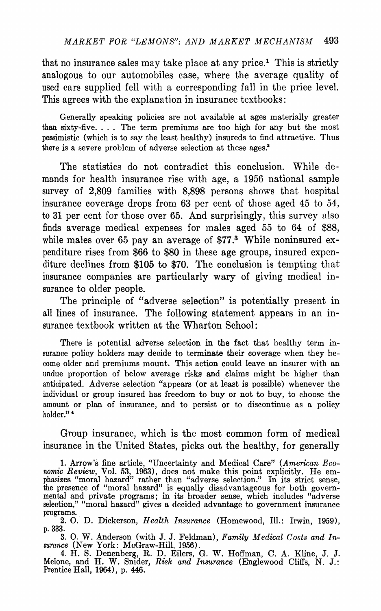**that no insurance sales may take place at any price.' This is strictly analogous to our automobiles case, where the average quality of used cars supplied fell with a corresponding fall in the price level. This agrees with the explanation in insurance textbooks:** 

**Generally speaking policies are not available at ages materially greater than sixty-five.... The term premiums are too high for any but the most pessimistic (which is to say the least healthy) insureds to find attractive. Thus there is a severe problem of adverse selection at these ages.2** 

**The statistics do not contradict this conclusion. While demands for health insurance rise with age, a 1956 national sample survey of 2,809 families with 8,898 persons shows that hospital insurance coverage drops from 63 per cent of those aged 45 to 54, to 31 per cent for those over 65. And surprisingly, this survey also finds average medical expenses for males aged 55 to 64 of \$88, while males over 65 pay an average of \$77.3 While noninsured expenditure rises from \$66 to \$80 in these age groups, insured expenditure declines from \$105 to \$70. The conclusion is tempting that insurance companies are particularly wary of giving medical insurance to older people.** 

**The principle of "adverse selection" is potentially present in all lines of insurance. The following statement appears in an insurance textbook written at the Wharton School:** 

**There is potential adverse selection in the fact that healthy term insurance policy holders may decide to terminate their coverage when they become older and premiums mount. This action could leave an insurer with an undue proportion of below average risks and claims might be higher than anticipated. Adverse selection "appears (or at least is possible) whenever the individual or group insured has freedom to buy or not to buy, to choose the amount or plan of insurance, and to persist or to discontinue as a policy holder." '** 

**Group insurance, which is the most common form of medical insurance in the United States, picks out the healthy, for generally** 

**<sup>1.</sup> Arrow's fine article, "Uncertainty and Medical Care" (American Economic Review, Vol. 53, 1963), does not make this point explicitly. He emphasizes "moral hazard" rather than "adverse selection." In its strict sense, the presence of "moral hazard" is equally disadvantageous for both governmental and private programs; in its broader sense, which includes "adverse selection," "moral hazard" gives a decided advantage to government insurance programs.** 

**<sup>2. 0.</sup> D. Dickerson, Health Insurance (Homewood, Ill.: Irwin, 1959),** 

**p. 333. 3. 0. W. Anderson (with J. J. Feldman), Family Medical Costs and In-surance (New York: McGraw-Hill, 1956).** 

**<sup>4.</sup> H. S. Denenberg, R. D. Eilers, G. W. Hoffman, C. A. Kline, J. J. Melone, and H. W. Snider, Risk and Insurance (Englewood Cliffs, N. J.: Prentice Hall, 1964), p. 446.**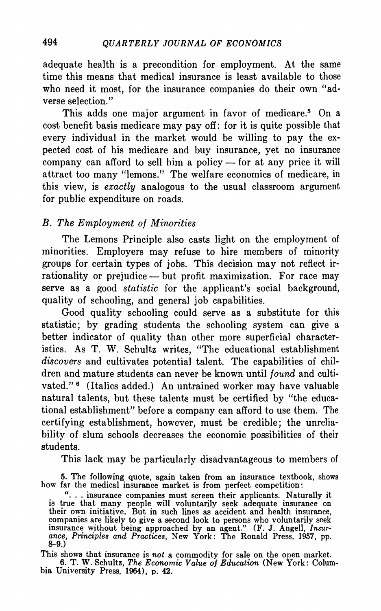**adequate health is a precondition for employment. At the same time this means that medical insurance is least available to those who need it most, for the insurance companies do their own "adverse selection."** 

**This adds one major argument in favor of medicare.5 On a cost benefit basis medicare may pay off: for it is quite possible that every individual in the market would be willing to pay the expected cost of his medicare and buy insurance, yet no insurance**  company can afford to sell him a policy — for at any price it will **attract too many "lemons." The welfare economics of medicare, in this view, is exactly analogous to the usual classroom argument for public expenditure on roads.** 

# **B. The Employment of Minorities**

**The Lemons Principle also casts light on the employment of minorities. Employers may refuse to hire members of minority groups for certain types of jobs. This decision may not reflect irrationality or prejudice -but profit maximization. For race may serve as a good statistic for the applicant's social background, quality of schooling, and general job capabilities.** 

**Good quality schooling could serve as a substitute for this statistic; by grading students the schooling system can give a better indicator of quality than other more superficial characteristics. As T. W. Schultz writes, "The educational establishment discovers and cultivates potential talent. The capabilities of children and mature students can never be known until found and cultivated." 6 (Italics added.) An untrained worker may have valuable natural talents, but these talents must be certified by "the educational establishment" before a company can afford to use them. The certifying establishment, however, must be credible; the unreliability of slum schools decreases the economic possibilities of their students.** 

**This lack may be particularly disadvantageous to members of** 

**5. The following quote, again taken from an insurance textbook, shows how far the medical insurance market is from perfect competition:** 

**is . .insurance companies must screen their applicants. Naturally it**  is true that many people will voluntarily seek adequate insurance on their own initiative. But in such lines as accident and health insurance, companies are likely to give a second look to persons who voluntarily seek **insurance without being approached by an agent." (F. J. Angell, Insur-ance, Principles and Practices, New York: The Ronald Press, 1957, pp. 8-9.)** 

**This shows that insurance is not a commodity for sale on the open market. 6. T. W. Schultz, The Economic Value of Education (New York: Columbia University Press, 1964), p. 42.**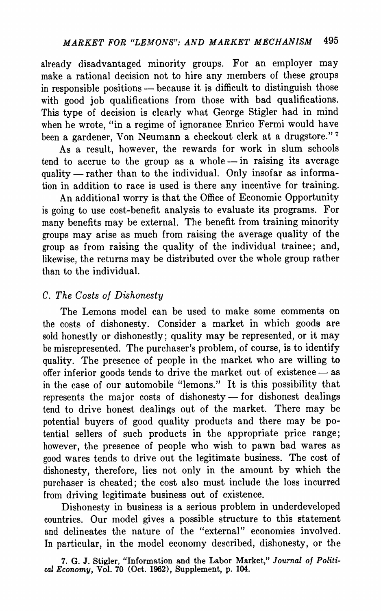**already disadvantaged minority groups. For an employer may make a rational decision not to hire any members of these groups in responsible positions - because it is difficult to distinguish those with good job qualifications from those with bad qualifications. This type of decision is clearly what George Stigler had in mind when he wrote, "in a regime of ignorance Enrico Fermi would have been a gardener, Von Neumann a checkout clerk at a drugstore." <sup>7</sup>**

**As a result, however, the rewards for work in slum schools tend to accrue to the group as a whole -in raising its average quality -rather than to the individual. Only insofar as information in addition to race is used is there any incentive for training.** 

**An additional worry is that the Office of Economic Opportunity is going to use cost-benefit analysis to evaluate its programs. For many benefits may be external. The benefit from training minority groups may arise as much from raising the average quality of the group as from raising the quality of the individual trainee; and, likewise, the returns may be distributed over the whole group rather than to the individual.** 

# **C. The Costs of Dishonesty**

**The Lemons model can be used to make some comments on the costs of dishonesty. Consider a market in which goods are sold honestly or dishonestly; quality may be represented, or it may be misrepresented. The purchaser's problem, of course, is to identify quality. The presence of people in the market who are willing to offer inferior goods tends to drive the market out of existence - as in the case of our automobile "lemons." It is this possibility that represents the major costs of dishonesty - for dishonest dealings tend to drive honest dealings out of the market. There may be potential buyers of good quality products and there may be potential sellers of such products in the appropriate price range; however, the presence of people who wish to pawn bad wares as good wares tends to drive out the legitimate business. The cost of dishonesty, therefore, lies not only in the amount by which the purchaser is cheated; the cost also must include the loss incurred from driving legitimate business out of existence.** 

**Dishonesty in business is a serious problem in underdeveloped countries. Our model gives a possible structure to this statement and delineates the nature of the "external" economies involved. In particular, in the model economy described, dishonesty, or the** 

**7. G. J. Stigler, "Information and the Labor Market," Journal of Politi-cal Economy, Vol. 70 (Oct. 1962), Supplement, p. 104.**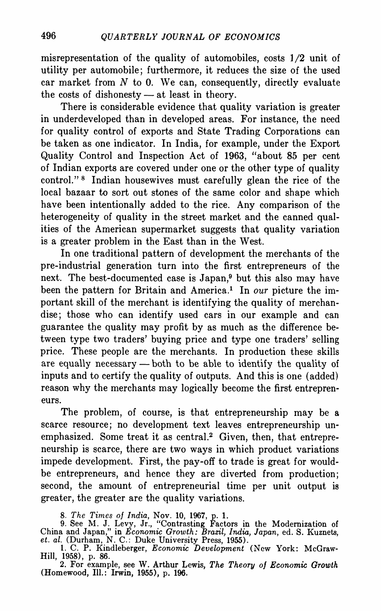**misrepresentation of the quality of automobiles, costs 1/2 unit of utility per automobile; furthermore, it reduces the size of the used car market from N to 0. We can, consequently, directly evaluate the costs of dishonesty - at least in theory.** 

**There is considerable evidence that quality variation is greater in underdeveloped than in developed areas. For instance, the need for quality control of exports and State Trading Corporations can be taken as one indicator. In India, for example, under the Export Quality Control and Inspection Act of 1963, "about 85 per cent of Indian exports are covered under one or the other type of quality control." 8 Indian housewives must carefully glean the rice of the local bazaar to sort out stones of the same color and shape which have been intentionally added to the rice. Any comparison of the heterogeneity of quality in the street market and the canned qualities of the American supermarket suggests that quality variation is a greater problem in the East than in the West.** 

**In one traditional pattern of development the merchants of the pre-industrial generation turn into the first entrepreneurs of the next. The best-documented case is Japan,9 but this also may have been the pattern for Britain and America.' In our picture the important skill of the merchant is identifying the quality of merchandise; those who can identify used cars in our example and can guarantee the quality may profit by as much as the difference between type two traders' buying price and type one traders' selling price. These people are the merchants. In production these skills are equally necessary - both to be able to identify the quality of inputs and to certify the quality of outputs. And this is one (added) reason why the merchants may logically become the first entrepreneurs.** 

**The problem, of course, is that entrepreneurship may be a scarce resource; no development text leaves entrepreneurship unemphasized. Some treat it as central.2 Given, then, that entrepreneurship is scarce, there are two ways in which product variations impede development. First, the pay-off to trade is great for wouldbe entrepreneurs, and hence they are diverted from production; second, the amount of entrepreneurial time per unit output is greater, the greater are the quality variations.** 

**8. The Times of India, Nov. 10, 1967, p. 1.** 

**9. See MI. J. Levy, Jr., "Contrasting Factors in the Modernization of China and Japan," in Economic Growth: Brazil, India, Japan, ed. S. Kuznets, et. al. (Durham, N. C.: Duke University Press, 1955).** 

**1. C. P. Kindleberger, Economic Development (New York: McGraw-Hill, 1958), p. 86.** 

**2. For example, see W. Arthur Lewis, The Theory of Economic Growth (Homewood, Ill.: Irwin, 1955), p. 196.**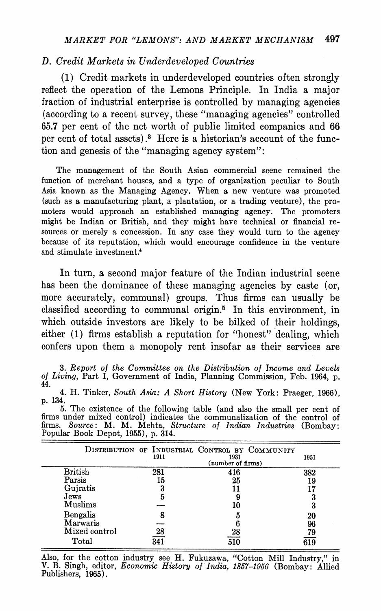### **D. Credit Markets in Underdeveloped Countries**

**(1) Credit markets in underdeveloped countries often strongly reflect the operation of the Lemons Principle. In India a major fraction of industrial enterprise is controlled by managing agencies (according to a recent survey, these "managing agencies" controlled 65.7 per cent of the net worth of public limited companies and 66 per cent of total assets).3 Here is a historian's account of the function and genesis of the "managing agency system":** 

**The management of the South Asian commercial scene remained the function of merchant houses, and a type of organization peculiar to South Asia known as the Managing Agency. When a new venture was promoted (such as a manufacturing plant, a plantation, or a trading venture), the promoters would approach an established managing agency. The promoters might be Indian or British, and they might have technical or financial resources or merely a concession. In any case they would turn to the agency because of its reputation, which would encourage confidence in the venture and stimulate investment.'** 

**In turn, a second major feature of the Indian industrial scene has been the dominance of these managing agencies by caste (or, more accurately, communal) groups. Thus firms can usually be classified according to communal origin.5 In this environment, in which outside investors are likely to be bilked of their holdings, either (1) firms establish a reputation for "honest" dealing, which confers upon them a monopoly rent insofar as their services are** 

**<sup>5.</sup> The existence of the following table (and also the small per cent of firms under mixed control) indicates the communalization of the control of firms. Source: M. M. Mehta, Structure of Indian Industries (Bombay: Popular Book Depot, 1955), p. 314.** 

|                | 1911 | DISTRIBUTION OF INDUSTRIAL CONTROL BY COMMUNITY<br>1931<br>(number of firms) | 1951 |
|----------------|------|------------------------------------------------------------------------------|------|
| <b>British</b> | 281  | 416                                                                          | 382  |
| Parsis         | 15   | 25                                                                           | 19   |
| Gujratis       |      |                                                                              |      |
| Jews           |      |                                                                              | 3    |
| Muslims        |      | 10                                                                           | 3    |
| Bengalis       |      |                                                                              | 20   |
| Marwaris       |      |                                                                              | 96   |
| Mixed control  | 28   | 28                                                                           | 79   |
| Total          |      |                                                                              |      |

**Also, for the cotton industry see H. Fukuzawa, "Cotton Mill Industry," in V. B. Singh, editor, Economic History of India, 1857-1956 (Bombay: Allied Publishers, 1965).** 

**<sup>3.</sup> Report of the Committee on the Distribution of Income and Levels of Living, Part I, Government of India, Planning Commission, Feb. 1964, p. 44.** 

**<sup>4.</sup> H. Tinker, South Asia: A Short History (New York: Praeger, 1966), p. 134.**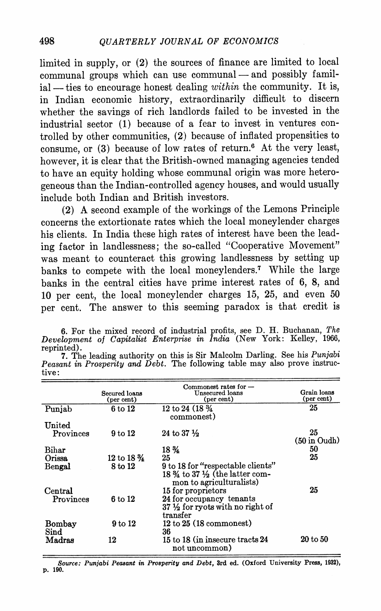**limited in supply, or (2) the sources of finance are limited to local**  communal groups which can use communal — and possibly famil**ial - ties to encourage honest dealing within the community. It is, in Indian economic history, extraordinarily difficult to discern whether the savings of rich landlords failed to be invested in the industrial sector (1) because of a fear to invest in ventures controlled by other communities, (2) because of inflated propensities to consume, or (3) because of low rates of return.6 At the very least, however, it is clear that the British-owned managing agencies tended to have an equity holding whose communal origin was more heterogeneous than the Indian-controlled agency houses, and would usually include both Indian and British investors.** 

**(2) A second example of the workings of the Lemons Principle concerns the extortionate rates which the local moneylender charges his clients. In India these high rates of interest have been the leading factor in landlessness; the so-called "Cooperative Movement" was meant to counteract this growing landlessness by setting up banks to compete with the local moneylenders.7 While the large banks in the central cities have prime interest rates of 6, 8, and 10 per cent, the local moneylender charges 15, 25, and even 50 per cent. The answer to this seeming paradox is that credit is** 

**<sup>6.</sup> For the mixed record of industrial profits, see D. H. Buchanan, The Development of Capitalist Enterprise in India (New York: Kelley, 1966, reprinted).** 

|           | Secured loans<br>(per cent)          | Commonest rates for -<br>Unsecured loans<br>(per cent)                            | Grain loans<br>(per cent) |
|-----------|--------------------------------------|-----------------------------------------------------------------------------------|---------------------------|
| Punjab    | 6 to 12                              | 12 to 24 (18 ¾                                                                    | 25                        |
|           |                                      | commonest)                                                                        |                           |
| United    |                                      |                                                                                   |                           |
| Provinces | 9 to 12                              | 24 to 37 $\frac{1}{2}$                                                            | 25                        |
|           |                                      |                                                                                   | $(50$ in Oudh $)$         |
| Bihar     |                                      | 18 %                                                                              | 50                        |
| Orissa    | 12 to 18 <sup>3</sup> / <sub>4</sub> | 25                                                                                | 25                        |
| Bengal    | 8 to 12                              | 9 to 18 for "respectable clients"                                                 |                           |
|           |                                      |                                                                                   |                           |
|           |                                      | 18 $\frac{3}{4}$ to 37 $\frac{1}{2}$ (the latter com-<br>mon to agriculturalists) |                           |
| Central   |                                      | 15 for proprietors                                                                | 25                        |
| Provinces | 6 to 12                              | 24 for occupancy tenants                                                          |                           |
|           |                                      |                                                                                   |                           |
|           |                                      | $37\frac{1}{2}$ for ryots with no right of                                        |                           |
|           |                                      | transfer                                                                          |                           |
| Bombay    | 9 <sub>to</sub> 12                   | 12 to 25 (18 commonest)                                                           |                           |
| Sind      |                                      | 36                                                                                |                           |
| Madras    | 12                                   | 15 to 18 (in insecure tracts 24                                                   | 20 to 50                  |
|           |                                      | not uncommon)                                                                     |                           |

**<sup>7.</sup> The leading authority on this is Sir Malcolm Darling. See his Punjabi Peasant in Prosperity and Debt. The following table may also prove instructive:** 

**Source: Punjabi Peasant in Prosperity and Debt, 3rd ed. (Oxford University Press, 1932), p. 190.**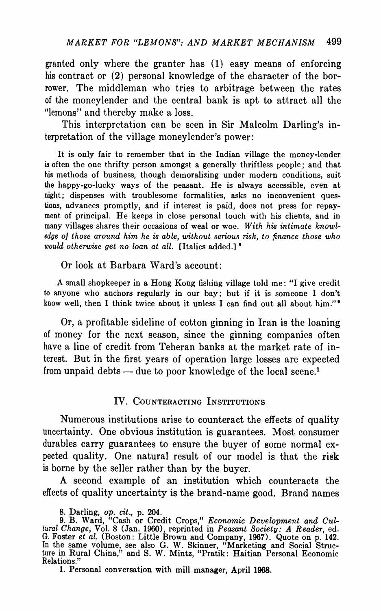**granted only where the granter has (1) easy means of enforcing his contract or (2) personal knowledge of the character of the borrower. The middleman who tries to arbitrage between the rates of the moneylender and the central bank is apt to attract all the "lemons" and thereby make a loss.** 

**This interpretation can be seen in Sir Malcolm Darling's interpretation of the village moneylender's power:** 

**It is only fair to remember that in the Indian village the money-lender is often the one thrifty person amongst a generally thriftless people; and that his methods of business, though demoralizing under modern conditions, suit the happy-go-lucky ways of the peasant. He is always accessible, even at night; dispenses with troublesome formalities, asks no inconvenient questions, advances promptly, and if interest is paid, does not press for repayment of principal. He keeps in close personal touch with his clients, and in many villages shares their occasions of weal or woe. With his intimate knowledge of those around him he is able, without serious risk, to finance those who would otherwise get no loan at all. [Italics added.] <sup>8</sup>**

**Or look at Barbara Ward's account:** 

**A small shopkeeper in a Hong Kong fishing village told me: "I give credit to anyone who anchors regularly in our bay; but if it is someone I don't know well, then I think twice about it unless I can find out all about him."9** 

**Or, a profitable sideline of cotton ginning in Iran is the loaning of money for the next season, since the ginning companies often have a line of credit from Teheran banks at the market rate of interest. But in the first years of operation large losses are expected from unpaid debts - due to poor knowledge of the local scene.'** 

#### **IV. COUNTERACTING INSTITUTIONS**

**Numerous institutions arise to counteract the effects of quality uncertainty. One obvious institution is guarantees. Most consumer durables carry guarantees to ensure the buyer of some normal expected quality. One natural result of our model is that the risk is borne by the seller rather than by the buyer.** 

**A second example of an institution which counteracts the effects of quality uncertainty is the brand-name good. Brand names** 

**<sup>8.</sup> Darling, op. cit., p. 204.** 

**<sup>9.</sup> B. Ward, "Cash or Credit Crops," Economic Development and Cul-tural Change, Vol. 8 (Jan. 1960), reprinted in Peasant Society: A Reader, ed. G. Foster et al. (Boston: Little Brown and Company, 1967). Quote on p. 142. In the same volume, see also G. W. Skinner, "Marketing and Social Structure in Rural China," and S. W. Mintz, "Pratik: Haitian Personal Economic Relations."** 

**<sup>1.</sup> Personal conversation with mill manager, April 1968.**